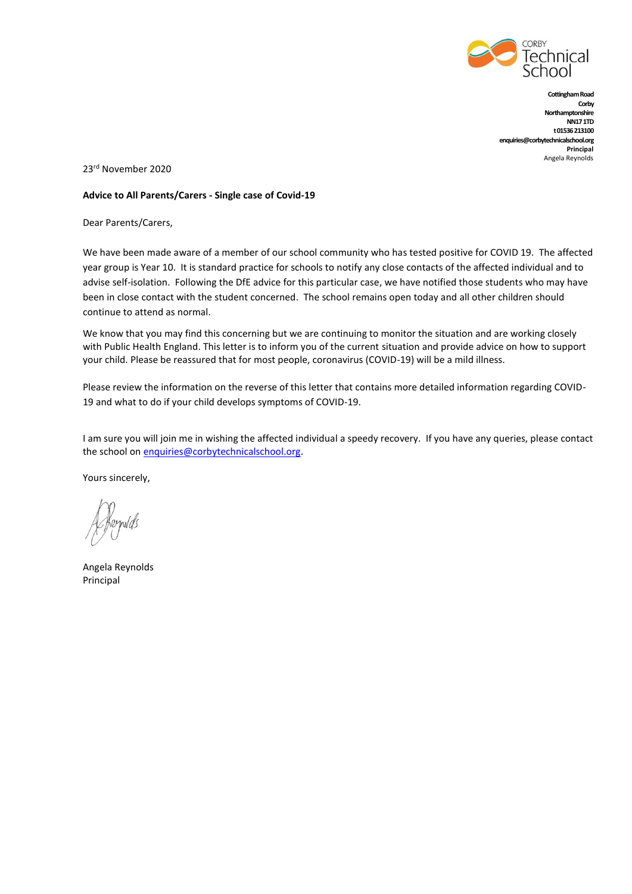

**Cottingham Road Corby Northamptonshire NN17 1TD t 01536 213100 enquiries@corbytechnicalschool.org Principal** Angela Reynolds

23rd November 2020

#### **Advice to All Parents/Carers - Single case of Covid-19**

Dear Parents/Carers,

We have been made aware of a member of our school community who has tested positive for COVID 19. The affected year group is Year 10. It is standard practice for schools to notify any close contacts of the affected individual and to advise self-isolation. Following the DfE advice for this particular case, we have notified those students who may have been in close contact with the student concerned. The school remains open today and all other children should continue to attend as normal.

We know that you may find this concerning but we are continuing to monitor the situation and are working closely with Public Health England. This letter is to inform you of the current situation and provide advice on how to support your child. Please be reassured that for most people, coronavirus (COVID-19) will be a mild illness.

Please review the information on the reverse of this letter that contains more detailed information regarding COVID-19 and what to do if your child develops symptoms of COVID-19.

I am sure you will join me in wishing the affected individual a speedy recovery. If you have any queries, please contact the school on [enquiries@corbytechnicalschool.org.](mailto:enquiries@corbytechnicalschool.org)

Yours sincerely,

Kernolds

Angela Reynolds Principal